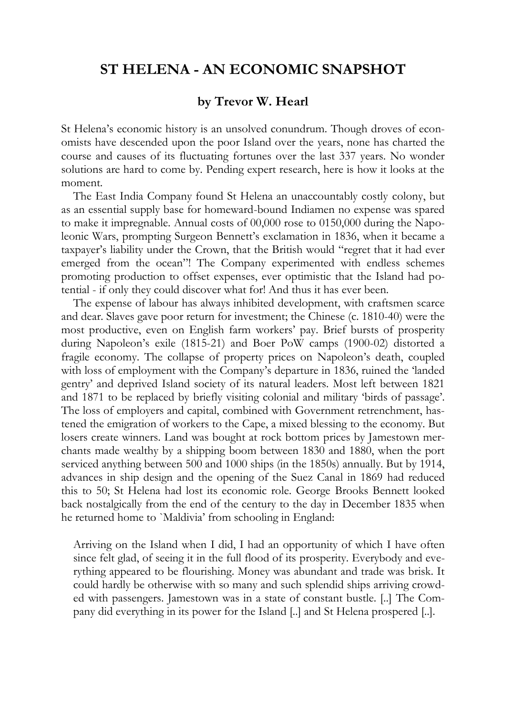## **ST HELENA - AN ECONOMIC SNAPSHOT**

## **by Trevor W. Hearl**

St Helena's economic history is an unsolved conundrum. Though droves of economists have descended upon the poor Island over the years, none has charted the course and causes of its fluctuating fortunes over the last 337 years. No wonder solutions are hard to come by. Pending expert research, here is how it looks at the moment.

The East India Company found St Helena an unaccountably costly colony, but as an essential supply base for homeward-bound Indiamen no expense was spared to make it impregnable. Annual costs of 00,000 rose to 0150,000 during the Napoleonic Wars, prompting Surgeon Bennett's exclamation in 1836, when it became a taxpayer's liability under the Crown, that the British would "regret that it had ever emerged from the ocean"! The Company experimented with endless schemes promoting production to offset expenses, ever optimistic that the Island had potential - if only they could discover what for! And thus it has ever been.

The expense of labour has always inhibited development, with craftsmen scarce and dear. Slaves gave poor return for investment; the Chinese (c. 1810-40) were the most productive, even on English farm workers' pay. Brief bursts of prosperity during Napoleon's exile (1815-21) and Boer PoW camps (1900-02) distorted a fragile economy. The collapse of property prices on Napoleon's death, coupled with loss of employment with the Company's departure in 1836, ruined the 'landed gentry' and deprived Island society of its natural leaders. Most left between 1821 and 1871 to be replaced by briefly visiting colonial and military 'birds of passage'. The loss of employers and capital, combined with Government retrenchment, hastened the emigration of workers to the Cape, a mixed blessing to the economy. But losers create winners. Land was bought at rock bottom prices by Jamestown merchants made wealthy by a shipping boom between 1830 and 1880, when the port serviced anything between 500 and 1000 ships (in the 1850s) annually. But by 1914, advances in ship design and the opening of the Suez Canal in 1869 had reduced this to 50; St Helena had lost its economic role. George Brooks Bennett looked back nostalgically from the end of the century to the day in December 1835 when he returned home to `Maldivia' from schooling in England:

Arriving on the Island when I did, I had an opportunity of which I have often since felt glad, of seeing it in the full flood of its prosperity. Everybody and everything appeared to be flourishing. Money was abundant and trade was brisk. It could hardly be otherwise with so many and such splendid ships arriving crowded with passengers. Jamestown was in a state of constant bustle. [..] The Company did everything in its power for the Island [..] and St Helena prospered [..].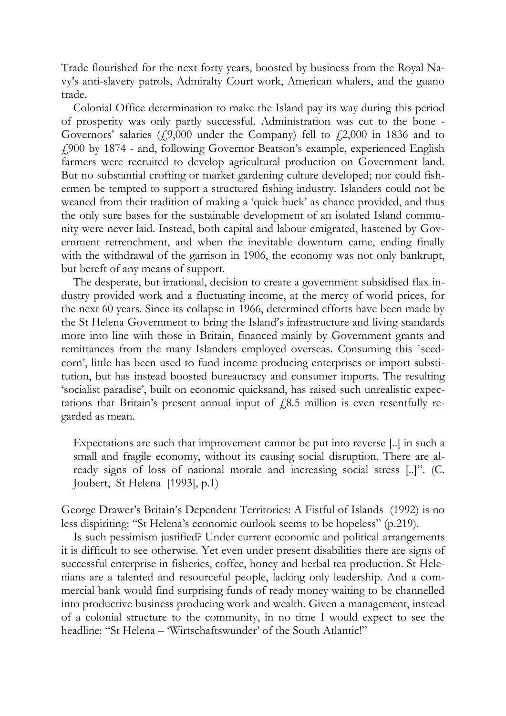Trade flourished for the next forty years, boosted by business from the Royal Navy's anti-slavery patrols, Admiralty Court work, American whalers, and the guano trade.

Colonial Office determination to make the Island pay its way during this period of prosperity was only partly successful. Administration was cut to the bone - Governors' salaries  $(49,000$  under the Company) fell to  $42,000$  in 1836 and to £900 by 1874 - and, following Governor Beatson's example, experienced English farmers were recruited to develop agricultural production on Government land. But no substantial crofting or market gardening culture developed; nor could fishermen be tempted to support a structured fishing industry. Islanders could not be weaned from their tradition of making a 'quick buck' as chance provided, and thus the only sure bases for the sustainable development of an isolated Island community were never laid. Instead, both capital and labour emigrated, hastened by Government retrenchment, and when the inevitable downturn came, ending finally with the withdrawal of the garrison in 1906, the economy was not only bankrupt, but bereft of any means of support.

The desperate, but irrational, decision to create a government subsidised flax industry provided work and a fluctuating income, at the mercy of world prices, for the next 60 years. Since its collapse in 1966, determined efforts have been made by the St Helena Government to bring the Island's infrastructure and living standards more into line with those in Britain, financed mainly by Government grants and remittances from the many Islanders employed overseas. Consuming this `seedcorn', little has been used to fund income producing enterprises or import substitution, but has instead boosted bureaucracy and consumer imports. The resulting 'socialist paradise', built on economic quicksand, has raised such unrealistic expectations that Britain's present annual input of  $f(8.5)$  million is even resentfully regarded as mean.

Expectations are such that improvement cannot be put into reverse [..] in such a small and fragile economy, without its causing social disruption. There are already signs of loss of national morale and increasing social stress [..]". (C. Joubert, St Helena [1993], p.1)

George Drawer's Britain's Dependent Territories: A Fistful of Islands (1992) is no less dispiriting: "St Helena's economic outlook seems to be hopeless" (p.219).

Is such pessimism justified? Under current economic and political arrangements it is difficult to see otherwise. Yet even under present disabilities there are signs of successful enterprise in fisheries, coffee, honey and herbal tea production. St Helenians are a talented and resourceful people, lacking only leadership. And a commercial bank would find surprising funds of ready money waiting to be channelled into productive business producing work and wealth. Given a management, instead of a colonial structure to the community, in no time I would expect to see the headline: "St Helena – 'Wirtschaftswunder' of the South Atlantic!"